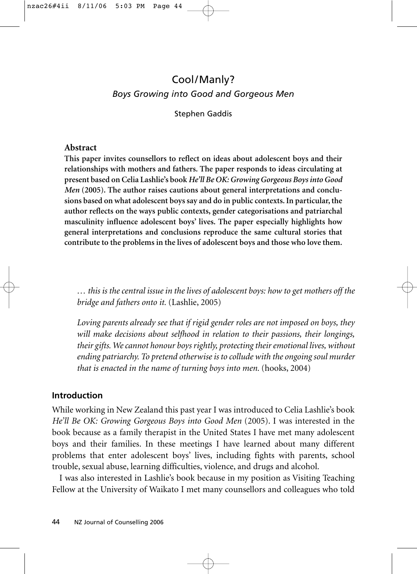# Cool/Manly? *Boys Growing into Good and Gorgeous Men*

Stephen Gaddis

#### **Abstract**

**This paper invites counsellors to reflect on ideas about adolescent boys and their relationships with mothers and fathers. The paper responds to ideas circulating at present based on Celia Lashlie's book** *He'll Be OK: Growing Gorgeous Boys into Good* Men (2005). The author raises cautions about general interpretations and conclu**sions based on what adolescent boys say and do in public contexts. In particular, the author reflects on the ways public contexts, gender categorisations and patriarchal masculinity influence adolescent boys' lives. The paper especially highlights how general interpretations and conclusions reproduce the same cultural stories that contribute to the problems in the lives of adolescent boys and those who love them.**

*… this is the central issue in the lives of adolescent boys: how to get mothers off the bridge and fathers onto it.* (Lashlie, 2005)

*Loving parents already see that if rigid gender roles are not imposed on boys, they will make decisions about selfhood in relation to their passions, their longings, their gifts. We cannot honour boys rightly, protecting their emotional lives, without ending patriarchy. To pretend otherwise is to collude with the ongoing soul murder that is enacted in the name of turning boys into men.* (hooks, 2004)

## **Introduction**

While working in New Zealand this past year I was introduced to Celia Lashlie's book *He'll Be OK: Growing Gorgeous Boys into Good Men* (2005). I was interested in the book because as a family therapist in the United States I have met many adolescent boys and their families. In these meetings I have learned about many different problems that enter adolescent boys' lives, including fights with parents, school trouble, sexual abuse, learning difficulties, violence, and drugs and alcohol.

I was also interested in Lashlie's book because in my position as Visiting Teaching Fellow at the University of Waikato I met many counsellors and colleagues who told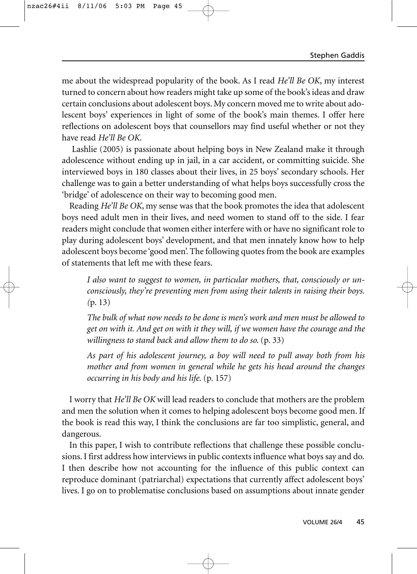me about the widespread popularity of the book. As I read *He'll Be OK*, my interest turned to concern about how readers might take up some of the book's ideas and draw certain conclusions about adolescent boys. My concern moved me to write about adolescent boys' experiences in light of some of the book's main themes. I offer here reflections on adolescent boys that counsellors may find useful whether or not they have read *He'll Be OK*.

Lashlie (2005) is passionate about helping boys in New Zealand make it through adolescence without ending up in jail, in a car accident, or committing suicide. She interviewed boys in 180 classes about their lives, in 25 boys' secondary schools. Her challenge was to gain a better understanding of what helps boys successfully cross the 'bridge' of adolescence on their way to becoming good men.

Reading *He'll Be OK*, my sense was that the book promotes the idea that adolescent boys need adult men in their lives, and need women to stand off to the side. I fear readers might conclude that women either interfere with or have no significant role to play during adolescent boys' development, and that men innately know how to help adolescent boys become 'good men'. The following quotes from the book are examples of statements that left me with these fears.

*I also want to suggest to women, in particular mothers, that, consciously or unconsciously, they're preventing men from using their talents in raising their boys. (*p. 13)

*The bulk of what now needs to be done is men's work and men must be allowed to get on with it. And get on with it they will, if we women have the courage and the willingness to stand back and allow them to do so.* (p. 33)

*As part of his adolescent journey, a boy will need to pull away both from his mother and from women in general while he gets his head around the changes occurring in his body and his life.* (p. 157)

I worry that *He'll Be OK* will lead readers to conclude that mothers are the problem and men the solution when it comes to helping adolescent boys become good men. If the book is read this way, I think the conclusions are far too simplistic, general, and dangerous.

In this paper, I wish to contribute reflections that challenge these possible conclusions. I first address how interviews in public contexts influence what boys say and do. I then describe how not accounting for the influence of this public context can reproduce dominant (patriarchal) expectations that currently affect adolescent boys' lives. I go on to problematise conclusions based on assumptions about innate gender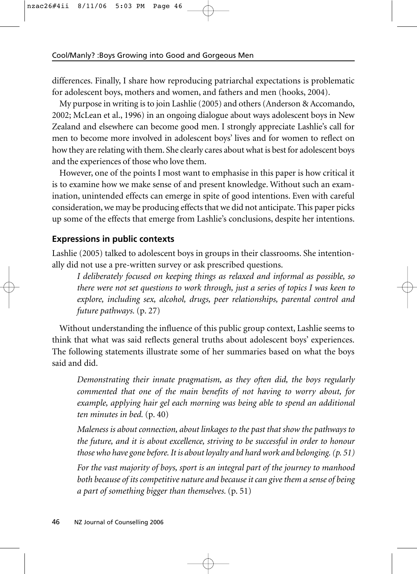differences. Finally, I share how reproducing patriarchal expectations is problematic for adolescent boys, mothers and women, and fathers and men (hooks, 2004).

My purpose in writing is to join Lashlie (2005) and others (Anderson & Accomando, 2002; McLean et al., 1996) in an ongoing dialogue about ways adolescent boys in New Zealand and elsewhere can become good men. I strongly appreciate Lashlie's call for men to become more involved in adolescent boys' lives and for women to reflect on how they are relating with them. She clearly cares about what is best for adolescent boys and the experiences of those who love them.

However, one of the points I most want to emphasise in this paper is how critical it is to examine how we make sense of and present knowledge. Without such an examination, unintended effects can emerge in spite of good intentions. Even with careful consideration, we may be producing effects that we did not anticipate. This paper picks up some of the effects that emerge from Lashlie's conclusions, despite her intentions.

### **Expressions in public contexts**

Lashlie (2005) talked to adolescent boys in groups in their classrooms. She intentionally did not use a pre-written survey or ask prescribed questions.

*I deliberately focused on keeping things as relaxed and informal as possible, so there were not set questions to work through, just a series of topics I was keen to explore, including sex, alcohol, drugs, peer relationships, parental control and future pathways.* (p. 27)

Without understanding the influence of this public group context, Lashlie seems to think that what was said reflects general truths about adolescent boys' experiences. The following statements illustrate some of her summaries based on what the boys said and did.

*Demonstrating their innate pragmatism, as they often did, the boys regularly commented that one of the main benefits of not having to worry about, for example, applying hair gel each morning was being able to spend an additional ten minutes in bed.* (p. 40)

*Maleness is about connection, about linkages to the past that show the pathways to the future, and it is about excellence, striving to be successful in order to honour those who have gone before. It is about loyalty and hard work and belonging. (p. 51)*

*For the vast majority of boys, sport is an integral part of the journey to manhood both because of its competitive nature and because it can give them a sense of being a part of something bigger than themselves.* (p. 51)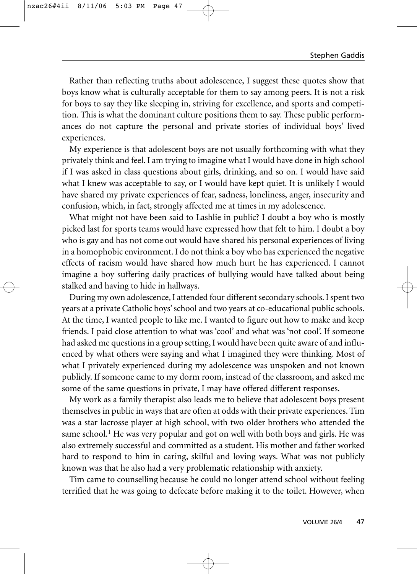Rather than reflecting truths about adolescence, I suggest these quotes show that boys know what is culturally acceptable for them to say among peers. It is not a risk for boys to say they like sleeping in, striving for excellence, and sports and competition. This is what the dominant culture positions them to say. These public performances do not capture the personal and private stories of individual boys' lived experiences.

My experience is that adolescent boys are not usually forthcoming with what they privately think and feel. I am trying to imagine what I would have done in high school if I was asked in class questions about girls, drinking, and so on. I would have said what I knew was acceptable to say, or I would have kept quiet. It is unlikely I would have shared my private experiences of fear, sadness, loneliness, anger, insecurity and confusion, which, in fact, strongly affected me at times in my adolescence.

What might not have been said to Lashlie in public? I doubt a boy who is mostly picked last for sports teams would have expressed how that felt to him. I doubt a boy who is gay and has not come out would have shared his personal experiences of living in a homophobic environment. I do not think a boy who has experienced the negative effects of racism would have shared how much hurt he has experienced. I cannot imagine a boy suffering daily practices of bullying would have talked about being stalked and having to hide in hallways.

During my own adolescence, I attended four different secondary schools. I spent two years at a private Catholic boys' school and two years at co-educational public schools. At the time, I wanted people to like me. I wanted to figure out how to make and keep friends. I paid close attention to what was 'cool' and what was 'not cool'. If someone had asked me questions in a group setting, I would have been quite aware of and influenced by what others were saying and what I imagined they were thinking. Most of what I privately experienced during my adolescence was unspoken and not known publicly. If someone came to my dorm room, instead of the classroom, and asked me some of the same questions in private, I may have offered different responses.

My work as a family therapist also leads me to believe that adolescent boys present themselves in public in ways that are often at odds with their private experiences. Tim was a star lacrosse player at high school, with two older brothers who attended the same school.<sup>1</sup> He was very popular and got on well with both boys and girls. He was also extremely successful and committed as a student. His mother and father worked hard to respond to him in caring, skilful and loving ways. What was not publicly known was that he also had a very problematic relationship with anxiety.

Tim came to counselling because he could no longer attend school without feeling terrified that he was going to defecate before making it to the toilet. However, when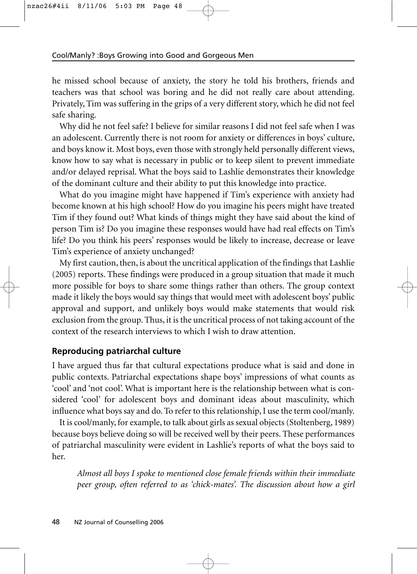he missed school because of anxiety, the story he told his brothers, friends and teachers was that school was boring and he did not really care about attending. Privately, Tim was suffering in the grips of a very different story, which he did not feel safe sharing.

Why did he not feel safe? I believe for similar reasons I did not feel safe when I was an adolescent. Currently there is not room for anxiety or differences in boys' culture, and boys know it. Most boys, even those with strongly held personally different views, know how to say what is necessary in public or to keep silent to prevent immediate and/or delayed reprisal. What the boys said to Lashlie demonstrates their knowledge of the dominant culture and their ability to put this knowledge into practice.

What do you imagine might have happened if Tim's experience with anxiety had become known at his high school? How do you imagine his peers might have treated Tim if they found out? What kinds of things might they have said about the kind of person Tim is? Do you imagine these responses would have had real effects on Tim's life? Do you think his peers' responses would be likely to increase, decrease or leave Tim's experience of anxiety unchanged?

My first caution, then, is about the uncritical application of the findings that Lashlie (2005) reports. These findings were produced in a group situation that made it much more possible for boys to share some things rather than others. The group context made it likely the boys would say things that would meet with adolescent boys' public approval and support, and unlikely boys would make statements that would risk exclusion from the group. Thus, it is the uncritical process of not taking account of the context of the research interviews to which I wish to draw attention.

## **Reproducing patriarchal culture**

I have argued thus far that cultural expectations produce what is said and done in public contexts. Patriarchal expectations shape boys' impressions of what counts as 'cool' and 'not cool'. What is important here is the relationship between what is considered 'cool' for adolescent boys and dominant ideas about masculinity, which influence what boys say and do. To refer to this relationship, I use the term cool/manly.

It is cool/manly, for example, to talk about girls as sexual objects (Stoltenberg, 1989) because boys believe doing so will be received well by their peers. These performances of patriarchal masculinity were evident in Lashlie's reports of what the boys said to her.

*Almost all boys I spoke to mentioned close female friends within their immediate peer group, often referred to as 'chick-mates'. The discussion about how a girl*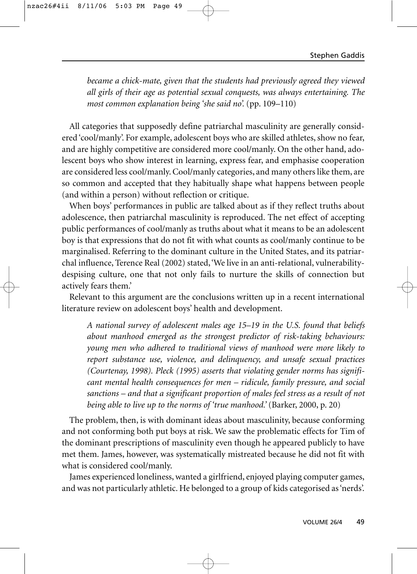*became a chick-mate, given that the students had previously agreed they viewed all girls of their age as potential sexual conquests, was always entertaining. The most common explanation being 'she said no'.* (pp. 109–110)

All categories that supposedly define patriarchal masculinity are generally considered 'cool/manly'. For example, adolescent boys who are skilled athletes, show no fear, and are highly competitive are considered more cool/manly. On the other hand, adolescent boys who show interest in learning, express fear, and emphasise cooperation are considered less cool/manly. Cool/manly categories, and many others like them, are so common and accepted that they habitually shape what happens between people (and within a person) without reflection or critique.

When boys' performances in public are talked about as if they reflect truths about adolescence, then patriarchal masculinity is reproduced. The net effect of accepting public performances of cool/manly as truths about what it means to be an adolescent boy is that expressions that do not fit with what counts as cool/manly continue to be marginalised. Referring to the dominant culture in the United States, and its patriarchal influence, Terence Real (2002) stated, 'We live in an anti-relational, vulnerabilitydespising culture, one that not only fails to nurture the skills of connection but actively fears them.'

Relevant to this argument are the conclusions written up in a recent international literature review on adolescent boys' health and development.

*A national survey of adolescent males age 15–19 in the U.S. found that beliefs about manhood emerged as the strongest predictor of risk-taking behaviours: young men who adhered to traditional views of manhood were more likely to report substance use, violence, and delinquency, and unsafe sexual practices (Courtenay, 1998). Pleck (1995) asserts that violating gender norms has significant mental health consequences for men – ridicule, family pressure, and social sanctions – and that a significant proportion of males feel stress as a result of not being able to live up to the norms of 'true manhood.'* (Barker, 2000, p. 20)

The problem, then, is with dominant ideas about masculinity, because conforming and not conforming both put boys at risk. We saw the problematic effects for Tim of the dominant prescriptions of masculinity even though he appeared publicly to have met them. James, however, was systematically mistreated because he did not fit with what is considered cool/manly.

James experienced loneliness, wanted a girlfriend, enjoyed playing computer games, and was not particularly athletic. He belonged to a group of kids categorised as 'nerds'.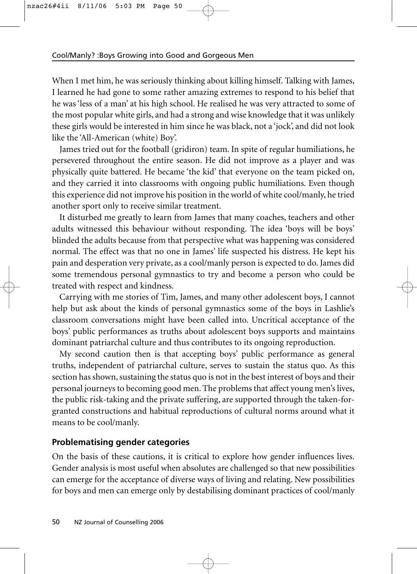When I met him, he was seriously thinking about killing himself. Talking with James, I learned he had gone to some rather amazing extremes to respond to his belief that he was 'less of a man' at his high school. He realised he was very attracted to some of the most popular white girls, and had a strong and wise knowledge that it was unlikely these girls would be interested in him since he was black, not a 'jock', and did not look like the 'All-American (white) Boy'.

James tried out for the football (gridiron) team. In spite of regular humiliations, he persevered throughout the entire season. He did not improve as a player and was physically quite battered. He became 'the kid' that everyone on the team picked on, and they carried it into classrooms with ongoing public humiliations. Even though this experience did not improve his position in the world of white cool/manly, he tried another sport only to receive similar treatment.

It disturbed me greatly to learn from James that many coaches, teachers and other adults witnessed this behaviour without responding. The idea 'boys will be boys' blinded the adults because from that perspective what was happening was considered normal. The effect was that no one in James' life suspected his distress. He kept his pain and desperation very private, as a cool/manly person is expected to do. James did some tremendous personal gymnastics to try and become a person who could be treated with respect and kindness.

Carrying with me stories of Tim, James, and many other adolescent boys, I cannot help but ask about the kinds of personal gymnastics some of the boys in Lashlie's classroom conversations might have been called into. Uncritical acceptance of the boys' public performances as truths about adolescent boys supports and maintains dominant patriarchal culture and thus contributes to its ongoing reproduction.

My second caution then is that accepting boys' public performance as general truths, independent of patriarchal culture, serves to sustain the status quo. As this section has shown, sustaining the status quo is not in the best interest of boys and their personal journeys to becoming good men. The problems that affect young men's lives, the public risk-taking and the private suffering, are supported through the taken-forgranted constructions and habitual reproductions of cultural norms around what it means to be cool/manly.

## **Problematising gender categories**

On the basis of these cautions, it is critical to explore how gender influences lives. Gender analysis is most useful when absolutes are challenged so that new possibilities can emerge for the acceptance of diverse ways of living and relating. New possibilities for boys and men can emerge only by destabilising dominant practices of cool/manly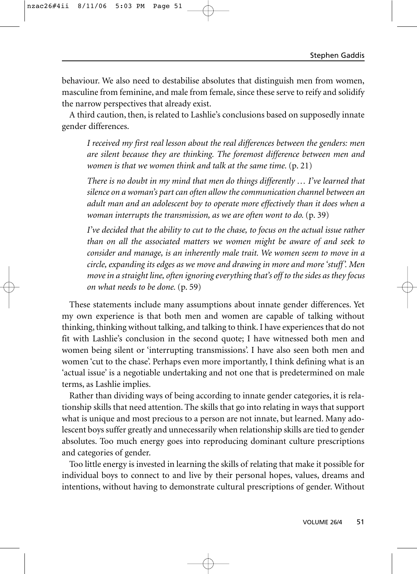behaviour. We also need to destabilise absolutes that distinguish men from women, masculine from feminine, and male from female, since these serve to reify and solidify the narrow perspectives that already exist.

A third caution, then, is related to Lashlie's conclusions based on supposedly innate gender differences.

*I received my first real lesson about the real differences between the genders: men are silent because they are thinking. The foremost difference between men and women is that we women think and talk at the same time.* (p. 21)

*There is no doubt in my mind that men do things differently … I've learned that silence on a woman's part can often allow the communication channel between an adult man and an adolescent boy to operate more effectively than it does when a woman interrupts the transmission, as we are often wont to do.* (p. 39)

*I've decided that the ability to cut to the chase, to focus on the actual issue rather than on all the associated matters we women might be aware of and seek to consider and manage, is an inherently male trait. We women seem to move in a circle, expanding its edges as we move and drawing in more and more 'stuff'. Men move in a straight line, often ignoring everything that's off to the sides as they focus on what needs to be done.* (p. 59)

These statements include many assumptions about innate gender differences. Yet my own experience is that both men and women are capable of talking without thinking, thinking without talking, and talking to think. I have experiences that do not fit with Lashlie's conclusion in the second quote; I have witnessed both men and women being silent or 'interrupting transmissions'. I have also seen both men and women 'cut to the chase'. Perhaps even more importantly, I think defining what is an 'actual issue' is a negotiable undertaking and not one that is predetermined on male terms, as Lashlie implies.

Rather than dividing ways of being according to innate gender categories, it is relationship skills that need attention. The skills that go into relating in ways that support what is unique and most precious to a person are not innate, but learned. Many adolescent boys suffer greatly and unnecessarily when relationship skills are tied to gender absolutes. Too much energy goes into reproducing dominant culture prescriptions and categories of gender.

Too little energy is invested in learning the skills of relating that make it possible for individual boys to connect to and live by their personal hopes, values, dreams and intentions, without having to demonstrate cultural prescriptions of gender. Without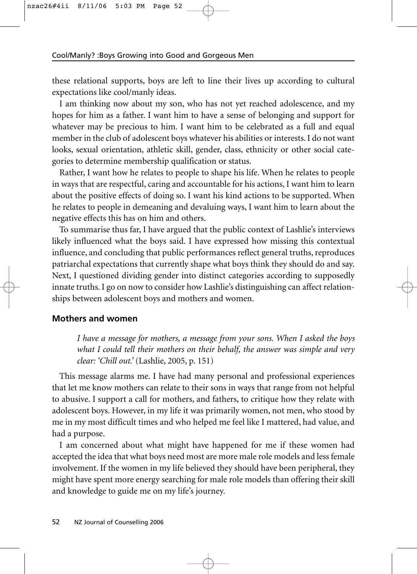these relational supports, boys are left to line their lives up according to cultural expectations like cool/manly ideas.

I am thinking now about my son, who has not yet reached adolescence, and my hopes for him as a father. I want him to have a sense of belonging and support for whatever may be precious to him. I want him to be celebrated as a full and equal member in the club of adolescent boys whatever his abilities or interests. I do not want looks, sexual orientation, athletic skill, gender, class, ethnicity or other social categories to determine membership qualification or status.

Rather, I want how he relates to people to shape his life. When he relates to people in ways that are respectful, caring and accountable for his actions, I want him to learn about the positive effects of doing so. I want his kind actions to be supported. When he relates to people in demeaning and devaluing ways, I want him to learn about the negative effects this has on him and others.

To summarise thus far, I have argued that the public context of Lashlie's interviews likely influenced what the boys said. I have expressed how missing this contextual influence, and concluding that public performances reflect general truths, reproduces patriarchal expectations that currently shape what boys think they should do and say. Next, I questioned dividing gender into distinct categories according to supposedly innate truths. I go on now to consider how Lashlie's distinguishing can affect relationships between adolescent boys and mothers and women.

#### **Mothers and women**

*I have a message for mothers, a message from your sons. When I asked the boys what I could tell their mothers on their behalf, the answer was simple and very clear: 'Chill out.'* (Lashlie, 2005, p. 151)

This message alarms me. I have had many personal and professional experiences that let me know mothers can relate to their sons in ways that range from not helpful to abusive. I support a call for mothers, and fathers, to critique how they relate with adolescent boys. However, in my life it was primarily women, not men, who stood by me in my most difficult times and who helped me feel like I mattered, had value, and had a purpose.

I am concerned about what might have happened for me if these women had accepted the idea that what boys need most are more male role models and less female involvement. If the women in my life believed they should have been peripheral, they might have spent more energy searching for male role models than offering their skill and knowledge to guide me on my life's journey.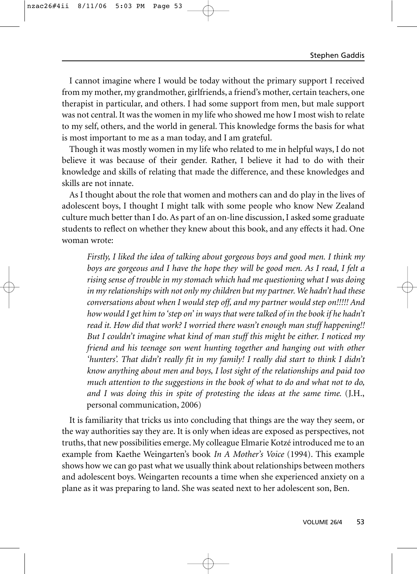I cannot imagine where I would be today without the primary support I received from my mother, my grandmother, girlfriends, a friend's mother, certain teachers, one therapist in particular, and others. I had some support from men, but male support was not central. It was the women in my life who showed me how I most wish to relate to my self, others, and the world in general. This knowledge forms the basis for what is most important to me as a man today, and I am grateful.

Though it was mostly women in my life who related to me in helpful ways, I do not believe it was because of their gender. Rather, I believe it had to do with their knowledge and skills of relating that made the difference, and these knowledges and skills are not innate.

As I thought about the role that women and mothers can and do play in the lives of adolescent boys, I thought I might talk with some people who know New Zealand culture much better than I do. As part of an on-line discussion, I asked some graduate students to reflect on whether they knew about this book, and any effects it had. One woman wrote:

*Firstly, I liked the idea of talking about gorgeous boys and good men. I think my boys are gorgeous and I have the hope they will be good men. As I read, I felt a rising sense of trouble in my stomach which had me questioning what I was doing in my relationships with not only my children but my partner. We hadn't had these conversations about when I would step off, and my partner would step on!!!!! And how would I get him to 'step on' in ways that were talked of in the book if he hadn't read it. How did that work? I worried there wasn't enough man stuff happening!! But I couldn't imagine what kind of man stuff this might be either. I noticed my friend and his teenage son went hunting together and hanging out with other 'hunters'. That didn't really fit in my family! I really did start to think I didn't know anything about men and boys, I lost sight of the relationships and paid too much attention to the suggestions in the book of what to do and what not to do, and I was doing this in spite of protesting the ideas at the same time.* (J.H., personal communication, 2006)

It is familiarity that tricks us into concluding that things are the way they seem, or the way authorities say they are. It is only when ideas are exposed as perspectives, not truths, that new possibilities emerge. My colleague Elmarie Kotzé introduced me to an example from Kaethe Weingarten's book *In A Mother's Voice* (1994). This example shows how we can go past what we usually think about relationships between mothers and adolescent boys. Weingarten recounts a time when she experienced anxiety on a plane as it was preparing to land. She was seated next to her adolescent son, Ben.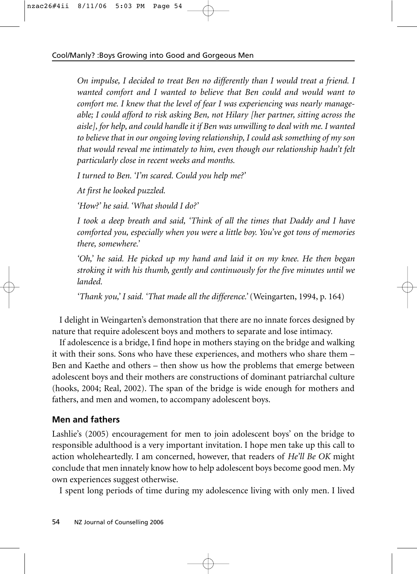*On impulse, I decided to treat Ben no differently than I would treat a friend. I wanted comfort and I wanted to believe that Ben could and would want to comfort me. I knew that the level of fear I was experiencing was nearly manageable; I could afford to risk asking Ben, not Hilary [her partner, sitting across the aisle], for help, and could handle it if Ben was unwilling to deal with me. I wanted to believe that in our ongoing loving relationship, I could ask something of my son that would reveal me intimately to him, even though our relationship hadn't felt particularly close in recent weeks and months.*

*I turned to Ben. 'I'm scared. Could you help me?'*

*At first he looked puzzled.*

*'How?' he said. 'What should I do?'*

*I took a deep breath and said, 'Think of all the times that Daddy and I have comforted you, especially when you were a little boy. You've got tons of memories there, somewhere.'*

*'Oh,' he said. He picked up my hand and laid it on my knee. He then began stroking it with his thumb, gently and continuously for the five minutes until we landed.*

*'Thank you,' I said. 'That made all the difference.'* (Weingarten, 1994, p. 164)

I delight in Weingarten's demonstration that there are no innate forces designed by nature that require adolescent boys and mothers to separate and lose intimacy.

If adolescence is a bridge, I find hope in mothers staying on the bridge and walking it with their sons. Sons who have these experiences, and mothers who share them – Ben and Kaethe and others – then show us how the problems that emerge between adolescent boys and their mothers are constructions of dominant patriarchal culture (hooks, 2004; Real, 2002). The span of the bridge is wide enough for mothers and fathers, and men and women, to accompany adolescent boys.

## **Men and fathers**

Lashlie's (2005) encouragement for men to join adolescent boys' on the bridge to responsible adulthood is a very important invitation. I hope men take up this call to action wholeheartedly. I am concerned, however, that readers of *He'll Be OK* might conclude that men innately know how to help adolescent boys become good men. My own experiences suggest otherwise.

I spent long periods of time during my adolescence living with only men. I lived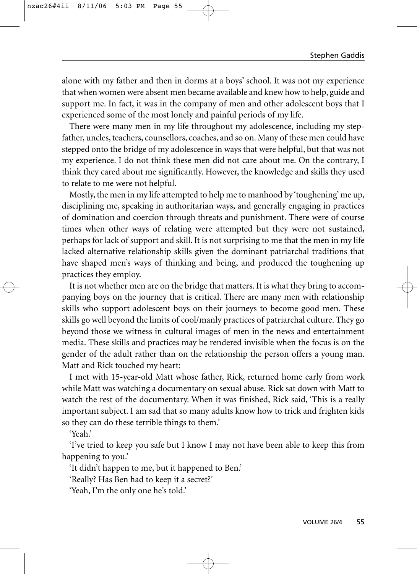alone with my father and then in dorms at a boys' school. It was not my experience that when women were absent men became available and knew how to help, guide and support me. In fact, it was in the company of men and other adolescent boys that I experienced some of the most lonely and painful periods of my life.

There were many men in my life throughout my adolescence, including my stepfather, uncles, teachers, counsellors, coaches, and so on. Many of these men could have stepped onto the bridge of my adolescence in ways that were helpful, but that was not my experience. I do not think these men did not care about me. On the contrary, I think they cared about me significantly. However, the knowledge and skills they used to relate to me were not helpful.

Mostly, the men in my life attempted to help me to manhood by 'toughening' me up, disciplining me, speaking in authoritarian ways, and generally engaging in practices of domination and coercion through threats and punishment. There were of course times when other ways of relating were attempted but they were not sustained, perhaps for lack of support and skill. It is not surprising to me that the men in my life lacked alternative relationship skills given the dominant patriarchal traditions that have shaped men's ways of thinking and being, and produced the toughening up practices they employ.

It is not whether men are on the bridge that matters. It is what they bring to accompanying boys on the journey that is critical. There are many men with relationship skills who support adolescent boys on their journeys to become good men. These skills go well beyond the limits of cool/manly practices of patriarchal culture. They go beyond those we witness in cultural images of men in the news and entertainment media. These skills and practices may be rendered invisible when the focus is on the gender of the adult rather than on the relationship the person offers a young man. Matt and Rick touched my heart:

I met with 15-year-old Matt whose father, Rick, returned home early from work while Matt was watching a documentary on sexual abuse. Rick sat down with Matt to watch the rest of the documentary. When it was finished, Rick said, 'This is a really important subject. I am sad that so many adults know how to trick and frighten kids so they can do these terrible things to them.'

'Yeah.'

'I've tried to keep you safe but I know I may not have been able to keep this from happening to you.'

'It didn't happen to me, but it happened to Ben.'

'Really? Has Ben had to keep it a secret?'

'Yeah, I'm the only one he's told.'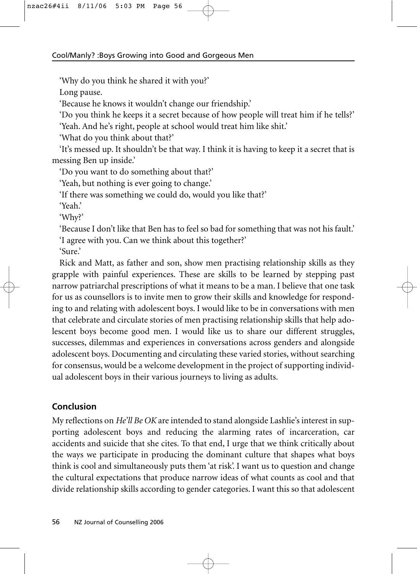'Why do you think he shared it with you?'

Long pause.

'Because he knows it wouldn't change our friendship.'

'Do you think he keeps it a secret because of how people will treat him if he tells?'

'Yeah. And he's right, people at school would treat him like shit.'

'What do you think about that?'

'It's messed up. It shouldn't be that way. I think it is having to keep it a secret that is messing Ben up inside.'

'Do you want to do something about that?'

'Yeah, but nothing is ever going to change.'

'If there was something we could do, would you like that?'

'Yeah.'

'Why?'

'Because I don't like that Ben has to feel so bad for something that was not his fault.' 'I agree with you. Can we think about this together?' 'Sure.'

Rick and Matt, as father and son, show men practising relationship skills as they grapple with painful experiences. These are skills to be learned by stepping past narrow patriarchal prescriptions of what it means to be a man. I believe that one task for us as counsellors is to invite men to grow their skills and knowledge for responding to and relating with adolescent boys. I would like to be in conversations with men that celebrate and circulate stories of men practising relationship skills that help adolescent boys become good men. I would like us to share our different struggles, successes, dilemmas and experiences in conversations across genders and alongside adolescent boys. Documenting and circulating these varied stories, without searching for consensus, would be a welcome development in the project of supporting individual adolescent boys in their various journeys to living as adults.

## **Conclusion**

My reflections on *He'll Be OK* are intended to stand alongside Lashlie's interest in supporting adolescent boys and reducing the alarming rates of incarceration, car accidents and suicide that she cites. To that end, I urge that we think critically about the ways we participate in producing the dominant culture that shapes what boys think is cool and simultaneously puts them 'at risk'. I want us to question and change the cultural expectations that produce narrow ideas of what counts as cool and that divide relationship skills according to gender categories. I want this so that adolescent